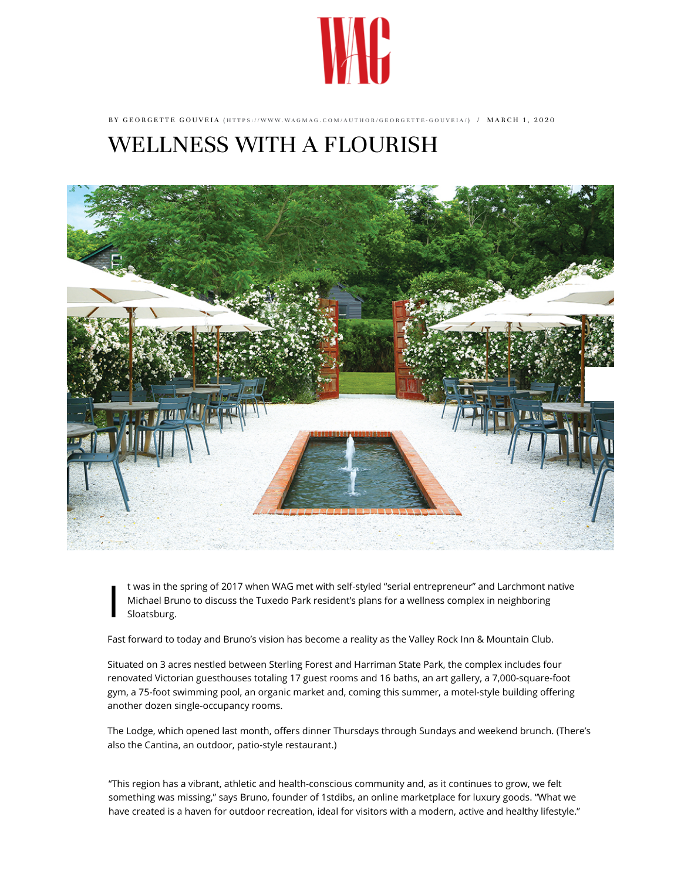

BY GEORGETTE GOUVEIA (HTTPS://WWW.WAGMAG.COM/AUTHOR/GEORGETTE-GOUVEIA/) / MARCH 1, 2020

## [WELLNESS WITH A FLOURISH](https://www.wagmag.com/author/georgette-gouveia/)



 $\prod_{i=1}^{n}$ t was in the spring of 2017 when WAG met with self-styled "serial entrepreneur" and Larchmont native Michael Bruno to discuss the Tuxedo Park resident's plans for a wellness complex in neighboring Sloatsburg.

Fast forward to today and Bruno's vision has become a reality as the Valley Rock Inn & Mountain Club.

Situated on 3 acres nestled between Sterling Forest and Harriman State Park, the complex includes four renovated Victorian guesthouses totaling 17 guest rooms and 16 baths, an art gallery, a 7,000-square-foot gym, a 75-foot swimming pool, an organic market and, coming this summer, a motel-style building offering another dozen single-occupancy rooms.

The Lodge, which opened last month, offers dinner Thursdays through Sundays and weekend brunch. (There's also the Cantina, an outdoor, patio-style restaurant.)

"This region has a vibrant, athletic and health-conscious community and, as it continues to grow, we felt something was missing," says Bruno, founder of 1stdibs, an online marketplace for luxury goods. "What we have created is a haven for outdoor recreation, ideal for visitors with a modern, active and healthy lifestyle."